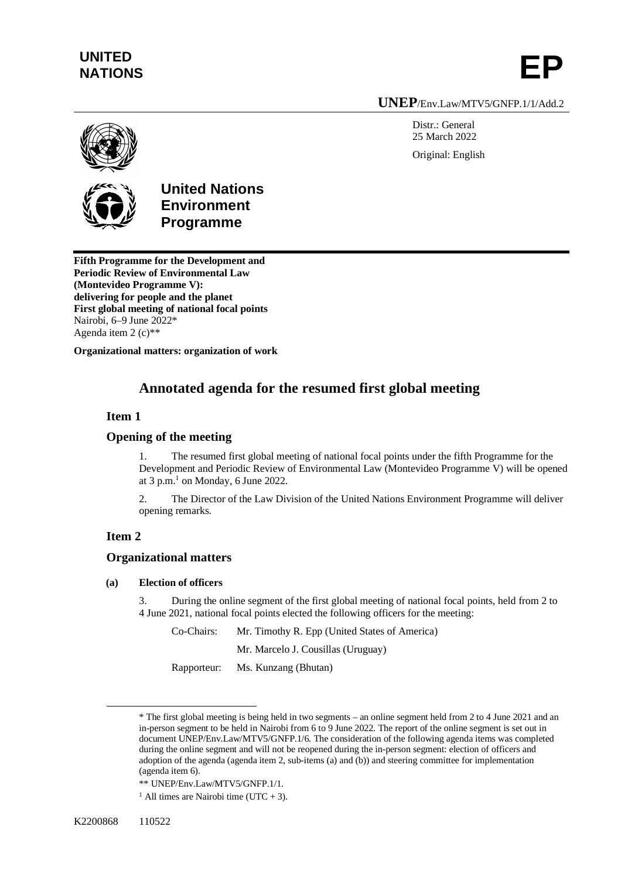## **UNITED**  UNITED<br>NATIONS **EP**

**UNEP**/Env.Law/MTV5/GNFP.1/1/Add.2

Distr.: General 25 March 2022 Original: English



**United Nations Environment Programme**

**Fifth Programme for the Development and Periodic Review of Environmental Law (Montevideo Programme V): delivering for people and the planet First global meeting of national focal points** Nairobi, 6–9 June 2022\* Agenda item 2 (c)\*\*

**Organizational matters: organization of work**

## **Annotated agenda for the resumed first global meeting**

## **Item 1**

## **Opening of the meeting**

1. The resumed first global meeting of national focal points under the fifth Programme for the Development and Periodic Review of Environmental Law (Montevideo Programme V) will be opened at  $3$  p.m.<sup>1</sup> on Monday, 6 June 2022.

2. The Director of the Law Division of the United Nations Environment Programme will deliver opening remarks.

## **Item 2**

## **Organizational matters**

#### **(a) Election of officers**

3. During the online segment of the first global meeting of national focal points, held from 2 to 4 June 2021, national focal points elected the following officers for the meeting:

Co-Chairs: Mr. Timothy R. Epp (United States of America)

Mr. Marcelo J. Cousillas (Uruguay)

Rapporteur: Ms. Kunzang (Bhutan)

<sup>\*</sup> The first global meeting is being held in two segments – an online segment held from 2 to 4 June 2021 and an in-person segment to be held in Nairobi from 6 to 9 June 2022. The report of the online segment is set out in document UNEP/Env.Law/MTV5/GNFP.1/6. The consideration of the following agenda items was completed during the online segment and will not be reopened during the in-person segment: election of officers and adoption of the agenda (agenda item 2, sub-items (a) and (b)) and steering committee for implementation (agenda item 6).

<sup>\*\*</sup> UNEP/Env.Law/MTV5/GNFP.1/1.

<sup>&</sup>lt;sup>1</sup> All times are Nairobi time (UTC + 3).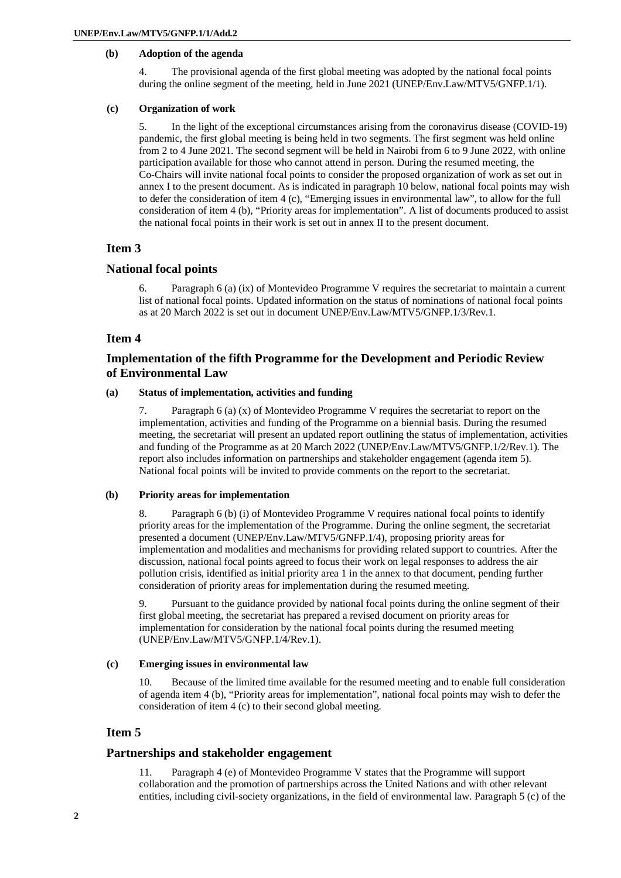### **(b) Adoption of the agenda**

4. The provisional agenda of the first global meeting was adopted by the national focal points during the online segment of the meeting, held in June 2021 (UNEP/Env.Law/MTV5/GNFP.1/1).

#### **(c) Organization of work**

5. In the light of the exceptional circumstances arising from the coronavirus disease (COVID-19) pandemic, the first global meeting is being held in two segments. The first segment was held online from 2 to 4 June 2021. The second segment will be held in Nairobi from 6 to 9 June 2022, with online participation available for those who cannot attend in person. During the resumed meeting, the Co-Chairs will invite national focal points to consider the proposed organization of work as set out in annex I to the present document. As is indicated in paragraph 10 below, national focal points may wish to defer the consideration of item 4 (c), "Emerging issues in environmental law", to allow for the full consideration of item 4 (b), "Priority areas for implementation". A list of documents produced to assist the national focal points in their work is set out in annex II to the present document.

## **Item 3**

#### **National focal points**

6. Paragraph 6 (a) (ix) of Montevideo Programme V requires the secretariat to maintain a current list of national focal points. Updated information on the status of nominations of national focal points as at 20 March 2022 is set out in document UNEP/Env.Law/MTV5/GNFP.1/3/Rev.1.

## **Item 4**

## **Implementation of the fifth Programme for the Development and Periodic Review of Environmental Law**

#### **(a) Status of implementation, activities and funding**

7. Paragraph 6 (a) (x) of Montevideo Programme V requires the secretariat to report on the implementation, activities and funding of the Programme on a biennial basis. During the resumed meeting, the secretariat will present an updated report outlining the status of implementation, activities and funding of the Programme as at 20 March 2022 (UNEP/Env.Law/MTV5/GNFP.1/2/Rev.1). The report also includes information on partnerships and stakeholder engagement (agenda item 5). National focal points will be invited to provide comments on the report to the secretariat.

#### **(b) Priority areas for implementation**

8. Paragraph 6 (b) (i) of Montevideo Programme V requires national focal points to identify priority areas for the implementation of the Programme. During the online segment, the secretariat presented a document (UNEP/Env.Law/MTV5/GNFP.1/4), proposing priority areas for implementation and modalities and mechanisms for providing related support to countries. After the discussion, national focal points agreed to focus their work on legal responses to address the air pollution crisis, identified as initial priority area 1 in the annex to that document, pending further consideration of priority areas for implementation during the resumed meeting.

9. Pursuant to the guidance provided by national focal points during the online segment of their first global meeting, the secretariat has prepared a revised document on priority areas for implementation for consideration by the national focal points during the resumed meeting (UNEP/Env.Law/MTV5/GNFP.1/4/Rev.1).

#### **(c) Emerging issues in environmental law**

10. Because of the limited time available for the resumed meeting and to enable full consideration of agenda item 4 (b), "Priority areas for implementation", national focal points may wish to defer the consideration of item 4 (c) to their second global meeting.

## **Item 5**

### **Partnerships and stakeholder engagement**

11. Paragraph 4 (e) of Montevideo Programme V states that the Programme will support collaboration and the promotion of partnerships across the United Nations and with other relevant entities, including civil-society organizations, in the field of environmental law. Paragraph 5 (c) of the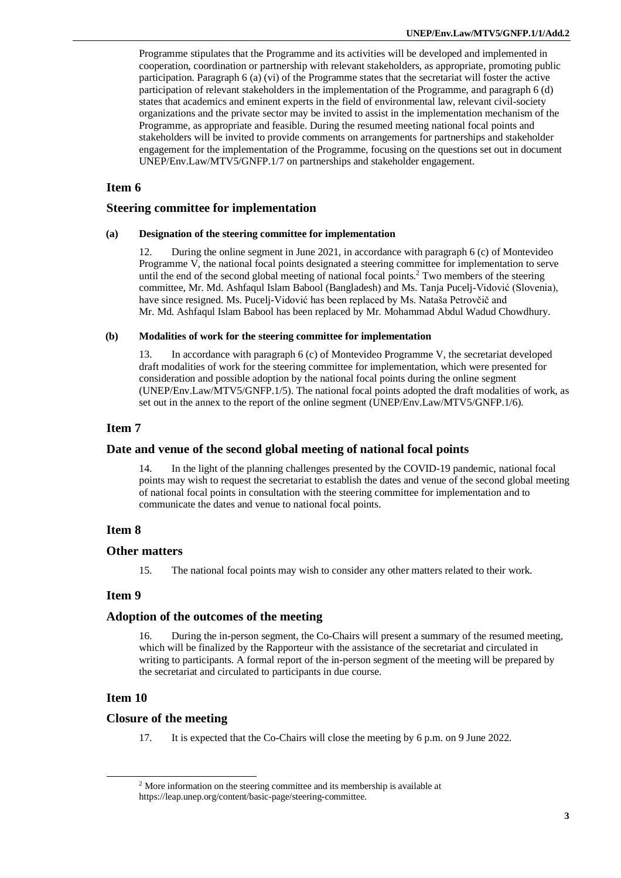Programme stipulates that the Programme and its activities will be developed and implemented in cooperation, coordination or partnership with relevant stakeholders, as appropriate, promoting public participation. Paragraph 6 (a) (vi) of the Programme states that the secretariat will foster the active participation of relevant stakeholders in the implementation of the Programme, and paragraph 6 (d) states that academics and eminent experts in the field of environmental law, relevant civil-society organizations and the private sector may be invited to assist in the implementation mechanism of the Programme, as appropriate and feasible. During the resumed meeting national focal points and stakeholders will be invited to provide comments on arrangements for partnerships and stakeholder engagement for the implementation of the Programme, focusing on the questions set out in document UNEP/Env.Law/MTV5/GNFP.1/7 on partnerships and stakeholder engagement.

### **Item 6**

#### **Steering committee for implementation**

#### **(a) Designation of the steering committee for implementation**

12. During the online segment in June 2021, in accordance with paragraph 6 (c) of Montevideo Programme V, the national focal points designated a steering committee for implementation to serve until the end of the second global meeting of national focal points.<sup>2</sup> Two members of the steering committee, Mr. Md. Ashfaqul Islam Babool (Bangladesh) and Ms. Tanja Pucelj-Vidović (Slovenia), have since resigned. Ms. Pucelj-Vidović has been replaced by Ms. Nataša Petrovčič and Mr. Md. Ashfaqul Islam Babool has been replaced by Mr. Mohammad Abdul Wadud Chowdhury.

#### **(b) Modalities of work for the steering committee for implementation**

13. In accordance with paragraph 6 (c) of Montevideo Programme V, the secretariat developed draft modalities of work for the steering committee for implementation, which were presented for consideration and possible adoption by the national focal points during the online segment (UNEP/Env.Law/MTV5/GNFP.1/5). The national focal points adopted the draft modalities of work, as set out in the annex to the report of the online segment (UNEP/Env.Law/MTV5/GNFP.1/6).

## **Item 7**

#### **Date and venue of the second global meeting of national focal points**

14. In the light of the planning challenges presented by the COVID-19 pandemic, national focal points may wish to request the secretariat to establish the dates and venue of the second global meeting of national focal points in consultation with the steering committee for implementation and to communicate the dates and venue to national focal points.

### **Item 8**

#### **Other matters**

15. The national focal points may wish to consider any other matters related to their work.

#### **Item 9**

#### **Adoption of the outcomes of the meeting**

16. During the in-person segment, the Co-Chairs will present a summary of the resumed meeting, which will be finalized by the Rapporteur with the assistance of the secretariat and circulated in writing to participants. A formal report of the in-person segment of the meeting will be prepared by the secretariat and circulated to participants in due course.

## **Item 10**

#### **Closure of the meeting**

17. It is expected that the Co-Chairs will close the meeting by 6 p.m. on 9 June 2022.

<sup>&</sup>lt;sup>2</sup> More information on the steering committee and its membership is available at <https://leap.unep.org/content/basic-page/steering-committee.>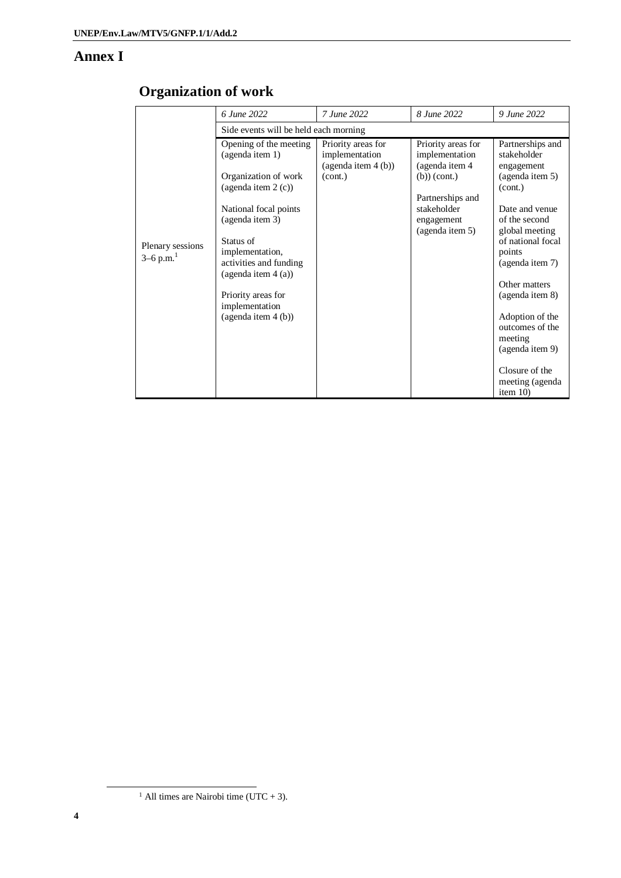## **Annex I**

|                                             | 6 June 2022                                                                  | 7 June 2022                                                | 8 June 2022                                                      | 9 June 2022                                                      |  |
|---------------------------------------------|------------------------------------------------------------------------------|------------------------------------------------------------|------------------------------------------------------------------|------------------------------------------------------------------|--|
| Plenary sessions<br>$3-6$ p.m. <sup>1</sup> | Side events will be held each morning                                        |                                                            |                                                                  |                                                                  |  |
|                                             | Opening of the meeting<br>(agenda item 1)                                    | Priority areas for<br>implementation<br>(agenda item 4(b)) | Priority areas for<br>implementation<br>(agenda item 4           | Partnerships and<br>stakeholder<br>engagement                    |  |
|                                             | Organization of work<br>(agenda item 2(c))                                   | (cont.)                                                    | $(b))$ (cont.)                                                   | (agenda item 5)<br>(cont.)                                       |  |
|                                             | National focal points<br>(agenda item 3)                                     |                                                            | Partnerships and<br>stakeholder<br>engagement<br>(agenda item 5) | Date and venue<br>of the second<br>global meeting                |  |
|                                             | Status of<br>implementation,<br>activities and funding<br>(agenda item 4(a)) |                                                            |                                                                  | of national focal<br>points<br>(agenda item 7)                   |  |
|                                             | Priority areas for<br>implementation                                         |                                                            |                                                                  | Other matters<br>(agenda item 8)                                 |  |
|                                             | (agenda item 4 (b))                                                          |                                                            |                                                                  | Adoption of the<br>outcomes of the<br>meeting<br>(agenda item 9) |  |
|                                             |                                                                              |                                                            |                                                                  | Closure of the<br>meeting (agenda<br>item $10$ )                 |  |

<sup>&</sup>lt;sup>1</sup> All times are Nairobi time (UTC + 3).